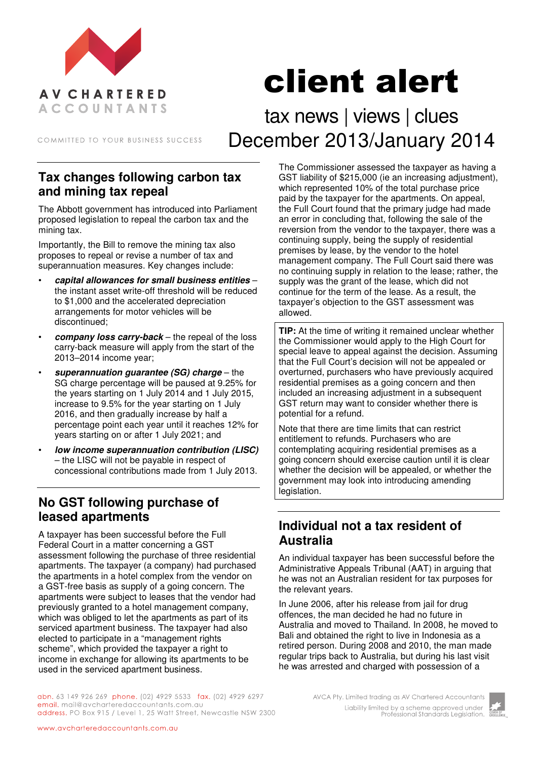

# client alert

COMMITTED TO YOUR BUSINESS SUCCESS

tax news | views | clues December 2013/January 2014

#### **Tax changes following carbon tax and mining tax repeal**

The Abbott government has introduced into Parliament proposed legislation to repeal the carbon tax and the mining tax.

Importantly, the Bill to remove the mining tax also proposes to repeal or revise a number of tax and superannuation measures. Key changes include:

- **capital allowances for small business entities** the instant asset write-off threshold will be reduced to \$1,000 and the accelerated depreciation arrangements for motor vehicles will be discontinued;
- **company loss carry-back** the repeal of the loss carry-back measure will apply from the start of the 2013–2014 income year;
- **superannuation guarantee (SG) charge** the SG charge percentage will be paused at 9.25% for the years starting on 1 July 2014 and 1 July 2015, increase to 9.5% for the year starting on 1 July 2016, and then gradually increase by half a percentage point each year until it reaches 12% for years starting on or after 1 July 2021; and
- **low income superannuation contribution (LISC)** – the LISC will not be payable in respect of concessional contributions made from 1 July 2013.

## **No GST following purchase of leased apartments**

A taxpayer has been successful before the Full Federal Court in a matter concerning a GST assessment following the purchase of three residential apartments. The taxpayer (a company) had purchased the apartments in a hotel complex from the vendor on a GST-free basis as supply of a going concern. The apartments were subject to leases that the vendor had previously granted to a hotel management company, which was obliged to let the apartments as part of its serviced apartment business. The taxpayer had also elected to participate in a "management rights scheme", which provided the taxpayer a right to income in exchange for allowing its apartments to be used in the serviced apartment business.

The Commissioner assessed the taxpayer as having a GST liability of \$215,000 (ie an increasing adjustment), which represented 10% of the total purchase price paid by the taxpayer for the apartments. On appeal, the Full Court found that the primary judge had made an error in concluding that, following the sale of the reversion from the vendor to the taxpayer, there was a continuing supply, being the supply of residential premises by lease, by the vendor to the hotel management company. The Full Court said there was no continuing supply in relation to the lease; rather, the supply was the grant of the lease, which did not continue for the term of the lease. As a result, the taxpayer's objection to the GST assessment was allowed.

**TIP:** At the time of writing it remained unclear whether the Commissioner would apply to the High Court for special leave to appeal against the decision. Assuming that the Full Court's decision will not be appealed or overturned, purchasers who have previously acquired residential premises as a going concern and then included an increasing adjustment in a subsequent GST return may want to consider whether there is potential for a refund.

Note that there are time limits that can restrict entitlement to refunds. Purchasers who are contemplating acquiring residential premises as a going concern should exercise caution until it is clear whether the decision will be appealed, or whether the government may look into introducing amending legislation.

#### **Individual not a tax resident of Australia**

An individual taxpayer has been successful before the Administrative Appeals Tribunal (AAT) in arguing that he was not an Australian resident for tax purposes for the relevant years.

In June 2006, after his release from jail for drug offences, the man decided he had no future in Australia and moved to Thailand. In 2008, he moved to Bali and obtained the right to live in Indonesia as a retired person. During 2008 and 2010, the man made regular trips back to Australia, but during his last visit he was arrested and charged with possession of a

abn. 63 149 926 269 phone. (02) 4929 5533 fax. (02) 4929 6297 email. mail@avcharteredaccountants.com.au address. PO Box 915 / Level 1, 25 Watt Street, Newcastle NSW 2300